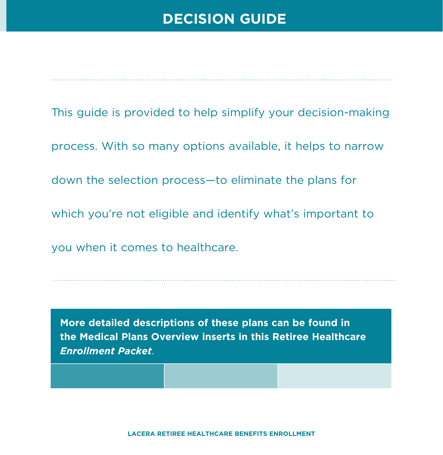# **DECISION GUIDE**

This guide is provided to help simplify your decision-making process. With so many options available, it helps to narrow down the selection process—to eliminate the plans for which you're not eligible and identify what's important to you when it comes to healthcare.

**More detailed descriptions of these plans can be found in the Medical Plans Overview inserts in this Retiree Healthcare** *Enrollment Packet*.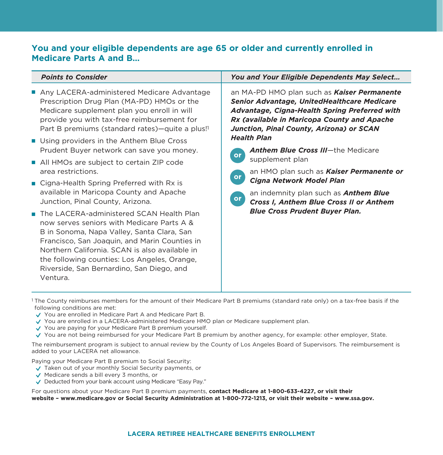### **You and your eligible dependents are age 65 or older and currently enrolled in Medicare Parts A and B…**

| <b>Points to Consider</b>                                                                                                                                                                                                                                                                                                                        | You and Your Eligible Dependents May Select                                                                                                                                                                                                                                                                                                                                                                                                                                                                                                                                     |
|--------------------------------------------------------------------------------------------------------------------------------------------------------------------------------------------------------------------------------------------------------------------------------------------------------------------------------------------------|---------------------------------------------------------------------------------------------------------------------------------------------------------------------------------------------------------------------------------------------------------------------------------------------------------------------------------------------------------------------------------------------------------------------------------------------------------------------------------------------------------------------------------------------------------------------------------|
| Any LACERA-administered Medicare Advantage<br>Prescription Drug Plan (MA-PD) HMOs or the<br>Medicare supplement plan you enroll in will<br>provide you with tax-free reimbursement for<br>Part B premiums (standard rates)—quite a plus!                                                                                                         | an MA-PD HMO plan such as Kaiser Permanente<br><b>Senior Advantage, UnitedHealthcare Medicare</b><br>Advantage, Cigna-Health Spring Preferred with<br>Rx (available in Maricopa County and Apache<br>Junction, Pinal County, Arizona) or SCAN<br><b>Health Plan</b><br><b>Anthem Blue Cross III-the Medicare</b><br>or<br>supplement plan<br>an HMO plan such as <b>Kaiser Permanente or</b><br>or<br>Cigna Network Model Plan<br>an indemnity plan such as <b>Anthem Blue</b><br><b>or</b><br>Cross I, Anthem Blue Cross II or Anthem<br><b>Blue Cross Prudent Buyer Plan.</b> |
| ■ Using providers in the Anthem Blue Cross                                                                                                                                                                                                                                                                                                       |                                                                                                                                                                                                                                                                                                                                                                                                                                                                                                                                                                                 |
| Prudent Buyer network can save you money.                                                                                                                                                                                                                                                                                                        |                                                                                                                                                                                                                                                                                                                                                                                                                                                                                                                                                                                 |
| All HMOs are subject to certain ZIP code<br>area restrictions.                                                                                                                                                                                                                                                                                   |                                                                                                                                                                                                                                                                                                                                                                                                                                                                                                                                                                                 |
| ■ Cigna-Health Spring Preferred with Rx is                                                                                                                                                                                                                                                                                                       |                                                                                                                                                                                                                                                                                                                                                                                                                                                                                                                                                                                 |
| available in Maricopa County and Apache<br>Junction, Pinal County, Arizona.                                                                                                                                                                                                                                                                      |                                                                                                                                                                                                                                                                                                                                                                                                                                                                                                                                                                                 |
| The LACERA-administered SCAN Health Plan<br>now serves seniors with Medicare Parts A &<br>B in Sonoma, Napa Valley, Santa Clara, San<br>Francisco, San Joaquin, and Marin Counties in<br>Northern California. SCAN is also available in<br>the following counties: Los Angeles, Orange,<br>Riverside, San Bernardino, San Diego, and<br>Ventura. |                                                                                                                                                                                                                                                                                                                                                                                                                                                                                                                                                                                 |

<sup>1</sup> The County reimburses members for the amount of their Medicare Part B premiums (standard rate only) on a tax-free basis if the following conditions are met:

- You are enrolled in Medicare Part A and Medicare Part B.
- You are enrolled in a LACERA-administered Medicare HMO plan or Medicare supplement plan.
- ◆ You are paying for your Medicare Part B premium yourself.
- You are not being reimbursed for your Medicare Part B premium by another agency, for example: other employer, State.

The reimbursement program is subject to annual review by the County of Los Angeles Board of Supervisors. The reimbursement is added to your LACERA net allowance.

Paying your Medicare Part B premium to Social Security:

- $\sqrt{\ }$  Taken out of your monthly Social Security payments, or
- $\sqrt{\phantom{a}}$  Medicare sends a bill every 3 months, or
- Deducted from your bank account using Medicare "Easy Pay."

For questions about your Medicare Part B premium payments, **contact Medicare at 1-800-633-4227, or visit their website – www.medicare.gov or Social Security Administration at 1-800-772-1213, or visit their website – www.ssa.gov.**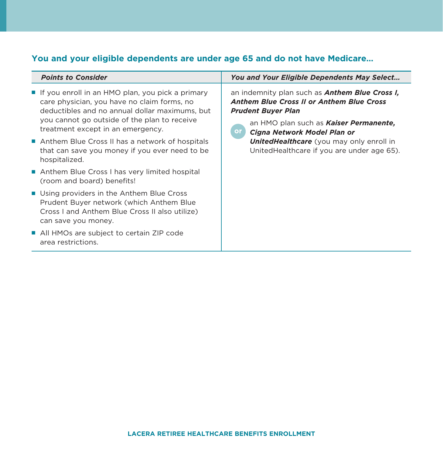# **You and your eligible dependents are under age 65 and do not have Medicare…**

| <b>Points to Consider</b>                                                                                                                                                                                                                | You and Your Eligible Dependents May Select                                                                                                                                                                                                                                                                                           |
|------------------------------------------------------------------------------------------------------------------------------------------------------------------------------------------------------------------------------------------|---------------------------------------------------------------------------------------------------------------------------------------------------------------------------------------------------------------------------------------------------------------------------------------------------------------------------------------|
| ■ If you enroll in an HMO plan, you pick a primary<br>care physician, you have no claim forms, no<br>deductibles and no annual dollar maximums, but<br>you cannot go outside of the plan to receive<br>treatment except in an emergency. | an indemnity plan such as <b>Anthem Blue Cross I,</b><br><b>Anthem Blue Cross II or Anthem Blue Cross</b><br><b>Prudent Buyer Plan</b><br>an HMO plan such as <b>Kaiser Permanente</b> ,<br><b>or</b><br>Cigna Network Model Plan or<br><b>UnitedHealthcare</b> (you may only enroll in<br>UnitedHealthcare if you are under age 65). |
| Anthem Blue Cross II has a network of hospitals<br>that can save you money if you ever need to be<br>hospitalized.                                                                                                                       |                                                                                                                                                                                                                                                                                                                                       |
| Anthem Blue Cross I has very limited hospital<br>(room and board) benefits!                                                                                                                                                              |                                                                                                                                                                                                                                                                                                                                       |
| ■ Using providers in the Anthem Blue Cross<br>Prudent Buyer network (which Anthem Blue<br>Cross I and Anthem Blue Cross II also utilize)<br>can save you money.                                                                          |                                                                                                                                                                                                                                                                                                                                       |
| All HMOs are subject to certain ZIP code<br>area restrictions.                                                                                                                                                                           |                                                                                                                                                                                                                                                                                                                                       |